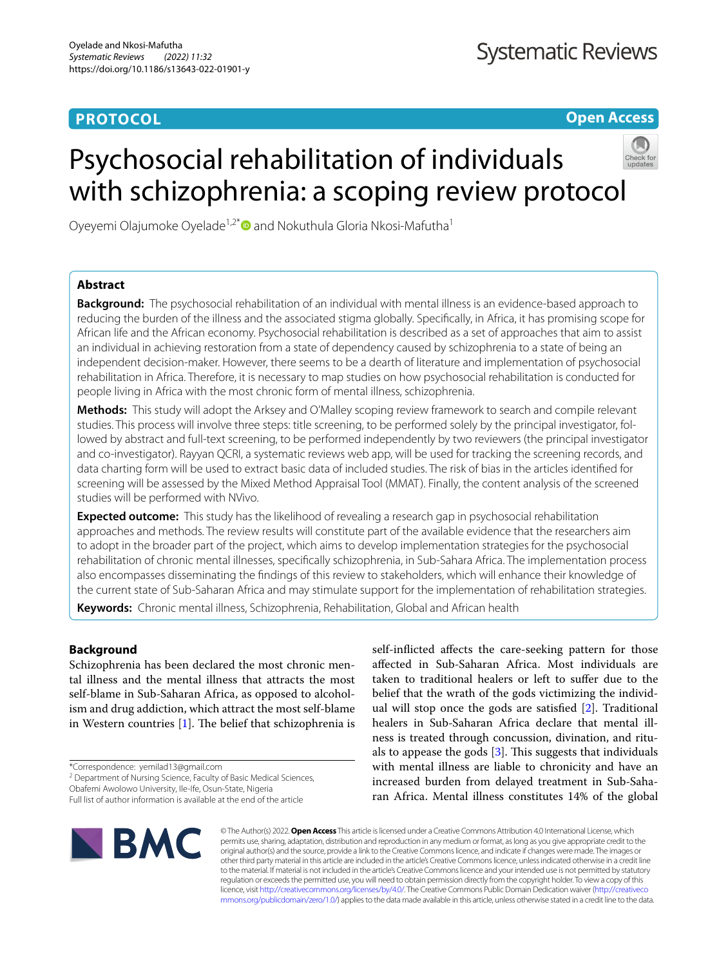# **PROTOCOL**

**Open Access**

# Psychosocial rehabilitation of individuals with schizophrenia: a scoping review protocol



Oyeyemi Olajumoke Oyelade<sup>1,2[\\*](http://orcid.org/0000-0002-0173-9208)</sup> and Nokuthula Gloria Nkosi-Mafutha<sup>1</sup>

# **Abstract**

**Background:** The psychosocial rehabilitation of an individual with mental illness is an evidence-based approach to reducing the burden of the illness and the associated stigma globally. Specifcally, in Africa, it has promising scope for African life and the African economy. Psychosocial rehabilitation is described as a set of approaches that aim to assist an individual in achieving restoration from a state of dependency caused by schizophrenia to a state of being an independent decision-maker. However, there seems to be a dearth of literature and implementation of psychosocial rehabilitation in Africa. Therefore, it is necessary to map studies on how psychosocial rehabilitation is conducted for people living in Africa with the most chronic form of mental illness, schizophrenia.

**Methods:** This study will adopt the Arksey and O'Malley scoping review framework to search and compile relevant studies. This process will involve three steps: title screening, to be performed solely by the principal investigator, followed by abstract and full-text screening, to be performed independently by two reviewers (the principal investigator and co-investigator). Rayyan QCRI, a systematic reviews web app, will be used for tracking the screening records, and data charting form will be used to extract basic data of included studies. The risk of bias in the articles identifed for screening will be assessed by the Mixed Method Appraisal Tool (MMAT). Finally, the content analysis of the screened studies will be performed with NVivo.

**Expected outcome:** This study has the likelihood of revealing a research gap in psychosocial rehabilitation approaches and methods. The review results will constitute part of the available evidence that the researchers aim to adopt in the broader part of the project, which aims to develop implementation strategies for the psychosocial rehabilitation of chronic mental illnesses, specifcally schizophrenia, in Sub-Sahara Africa. The implementation process also encompasses disseminating the fndings of this review to stakeholders, which will enhance their knowledge of the current state of Sub-Saharan Africa and may stimulate support for the implementation of rehabilitation strategies.

**Keywords:** Chronic mental illness, Schizophrenia, Rehabilitation, Global and African health

# **Background**

Schizophrenia has been declared the most chronic mental illness and the mental illness that attracts the most self-blame in Sub-Saharan Africa, as opposed to alcoholism and drug addiction, which attract the most self-blame in Western countries  $[1]$  $[1]$ . The belief that schizophrenia is

\*Correspondence: yemilad13@gmail.com

<sup>2</sup> Department of Nursing Science, Faculty of Basic Medical Sciences,

Obafemi Awolowo University, Ile‑Ife, Osun‑State, Nigeria

Full list of author information is available at the end of the article

self-inficted afects the care-seeking pattern for those afected in Sub-Saharan Africa. Most individuals are taken to traditional healers or left to sufer due to the belief that the wrath of the gods victimizing the individual will stop once the gods are satisfed [\[2\]](#page-7-1). Traditional healers in Sub-Saharan Africa declare that mental illness is treated through concussion, divination, and rituals to appease the gods  $[3]$ . This suggests that individuals with mental illness are liable to chronicity and have an increased burden from delayed treatment in Sub-Saharan Africa. Mental illness constitutes 14% of the global



© The Author(s) 2022. **Open Access** This article is licensed under a Creative Commons Attribution 4.0 International License, which permits use, sharing, adaptation, distribution and reproduction in any medium or format, as long as you give appropriate credit to the original author(s) and the source, provide a link to the Creative Commons licence, and indicate if changes were made. The images or other third party material in this article are included in the article's Creative Commons licence, unless indicated otherwise in a credit line to the material. If material is not included in the article's Creative Commons licence and your intended use is not permitted by statutory regulation or exceeds the permitted use, you will need to obtain permission directly from the copyright holder. To view a copy of this licence, visit [http://creativecommons.org/licenses/by/4.0/.](http://creativecommons.org/licenses/by/4.0/) The Creative Commons Public Domain Dedication waiver ([http://creativeco](http://creativecommons.org/publicdomain/zero/1.0/) [mmons.org/publicdomain/zero/1.0/](http://creativecommons.org/publicdomain/zero/1.0/)) applies to the data made available in this article, unless otherwise stated in a credit line to the data.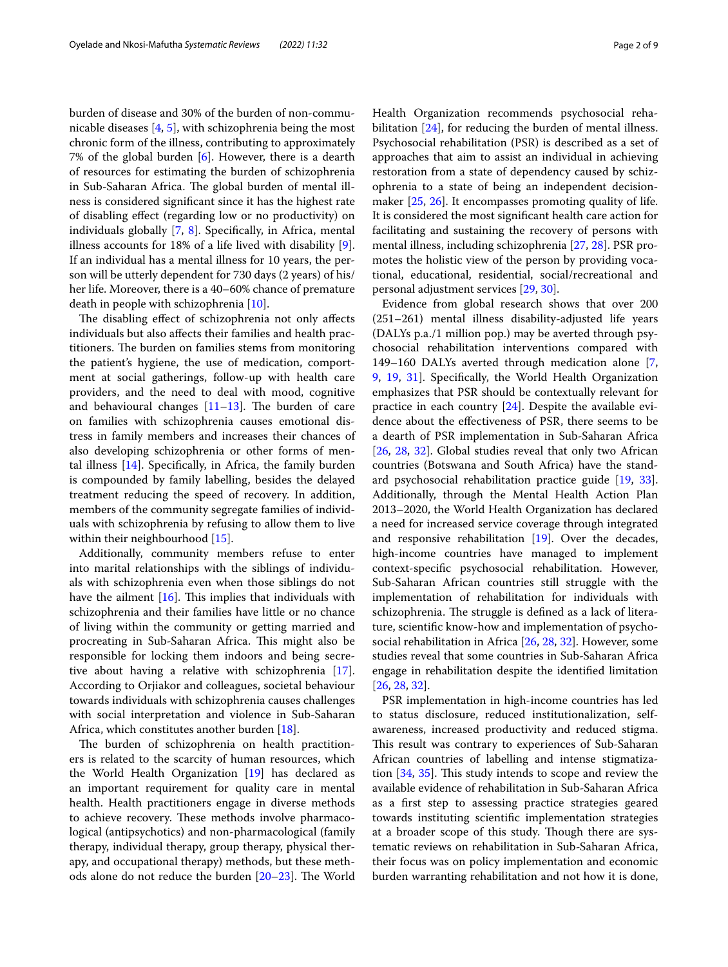burden of disease and 30% of the burden of non-communicable diseases [[4,](#page-7-3) [5](#page-7-4)], with schizophrenia being the most chronic form of the illness, contributing to approximately 7% of the global burden  $[6]$  $[6]$ . However, there is a dearth of resources for estimating the burden of schizophrenia in Sub-Saharan Africa. The global burden of mental illness is considered signifcant since it has the highest rate of disabling efect (regarding low or no productivity) on individuals globally [\[7](#page-7-6), [8\]](#page-7-7). Specifcally, in Africa, mental illness accounts for 18% of a life lived with disability [\[9](#page-7-8)]. If an individual has a mental illness for 10 years, the person will be utterly dependent for 730 days (2 years) of his/ her life. Moreover, there is a 40–60% chance of premature death in people with schizophrenia [\[10](#page-7-9)].

The disabling effect of schizophrenia not only affects individuals but also afects their families and health practitioners. The burden on families stems from monitoring the patient's hygiene, the use of medication, comportment at social gatherings, follow-up with health care providers, and the need to deal with mood, cognitive and behavioural changes  $[11–13]$  $[11–13]$  $[11–13]$ . The burden of care on families with schizophrenia causes emotional distress in family members and increases their chances of also developing schizophrenia or other forms of mental illness [[14](#page-8-0)]. Specifcally, in Africa, the family burden is compounded by family labelling, besides the delayed treatment reducing the speed of recovery. In addition, members of the community segregate families of individuals with schizophrenia by refusing to allow them to live within their neighbourhood [[15\]](#page-8-1).

Additionally, community members refuse to enter into marital relationships with the siblings of individuals with schizophrenia even when those siblings do not have the ailment  $[16]$  $[16]$  $[16]$ . This implies that individuals with schizophrenia and their families have little or no chance of living within the community or getting married and procreating in Sub-Saharan Africa. This might also be responsible for locking them indoors and being secretive about having a relative with schizophrenia [\[17](#page-8-3)]. According to Orjiakor and colleagues, societal behaviour towards individuals with schizophrenia causes challenges with social interpretation and violence in Sub-Saharan Africa, which constitutes another burden [[18\]](#page-8-4).

The burden of schizophrenia on health practitioners is related to the scarcity of human resources, which the World Health Organization [\[19](#page-8-5)] has declared as an important requirement for quality care in mental health. Health practitioners engage in diverse methods to achieve recovery. These methods involve pharmacological (antipsychotics) and non-pharmacological (family therapy, individual therapy, group therapy, physical therapy, and occupational therapy) methods, but these methods alone do not reduce the burden  $[20-23]$  $[20-23]$ . The World Health Organization recommends psychosocial reha-bilitation [\[24\]](#page-8-8), for reducing the burden of mental illness. Psychosocial rehabilitation (PSR) is described as a set of approaches that aim to assist an individual in achieving restoration from a state of dependency caused by schizophrenia to a state of being an independent decisionmaker [[25](#page-8-9), [26](#page-8-10)]. It encompasses promoting quality of life. It is considered the most signifcant health care action for facilitating and sustaining the recovery of persons with mental illness, including schizophrenia [[27](#page-8-11), [28\]](#page-8-12). PSR promotes the holistic view of the person by providing vocational, educational, residential, social/recreational and personal adjustment services [\[29](#page-8-13), [30](#page-8-14)].

Evidence from global research shows that over 200 (251–261) mental illness disability-adjusted life years (DALYs p.a./1 million pop.) may be averted through psychosocial rehabilitation interventions compared with 149–160 DALYs averted through medication alone [\[7](#page-7-6), [9,](#page-7-8) [19](#page-8-5), [31\]](#page-8-15). Specifcally, the World Health Organization emphasizes that PSR should be contextually relevant for practice in each country [[24\]](#page-8-8). Despite the available evidence about the efectiveness of PSR, there seems to be a dearth of PSR implementation in Sub-Saharan Africa [[26,](#page-8-10) [28](#page-8-12), [32\]](#page-8-16). Global studies reveal that only two African countries (Botswana and South Africa) have the standard psychosocial rehabilitation practice guide [[19](#page-8-5), [33](#page-8-17)]. Additionally, through the Mental Health Action Plan 2013–2020, the World Health Organization has declared a need for increased service coverage through integrated and responsive rehabilitation [\[19\]](#page-8-5). Over the decades, high-income countries have managed to implement context-specifc psychosocial rehabilitation. However, Sub-Saharan African countries still struggle with the implementation of rehabilitation for individuals with schizophrenia. The struggle is defined as a lack of literature, scientifc know-how and implementation of psychosocial rehabilitation in Africa [\[26](#page-8-10), [28,](#page-8-12) [32](#page-8-16)]. However, some studies reveal that some countries in Sub-Saharan Africa engage in rehabilitation despite the identifed limitation [[26,](#page-8-10) [28](#page-8-12), [32\]](#page-8-16).

PSR implementation in high-income countries has led to status disclosure, reduced institutionalization, selfawareness, increased productivity and reduced stigma. This result was contrary to experiences of Sub-Saharan African countries of labelling and intense stigmatization  $[34, 35]$  $[34, 35]$  $[34, 35]$  $[34, 35]$ . This study intends to scope and review the available evidence of rehabilitation in Sub-Saharan Africa as a frst step to assessing practice strategies geared towards instituting scientifc implementation strategies at a broader scope of this study. Though there are systematic reviews on rehabilitation in Sub-Saharan Africa, their focus was on policy implementation and economic burden warranting rehabilitation and not how it is done,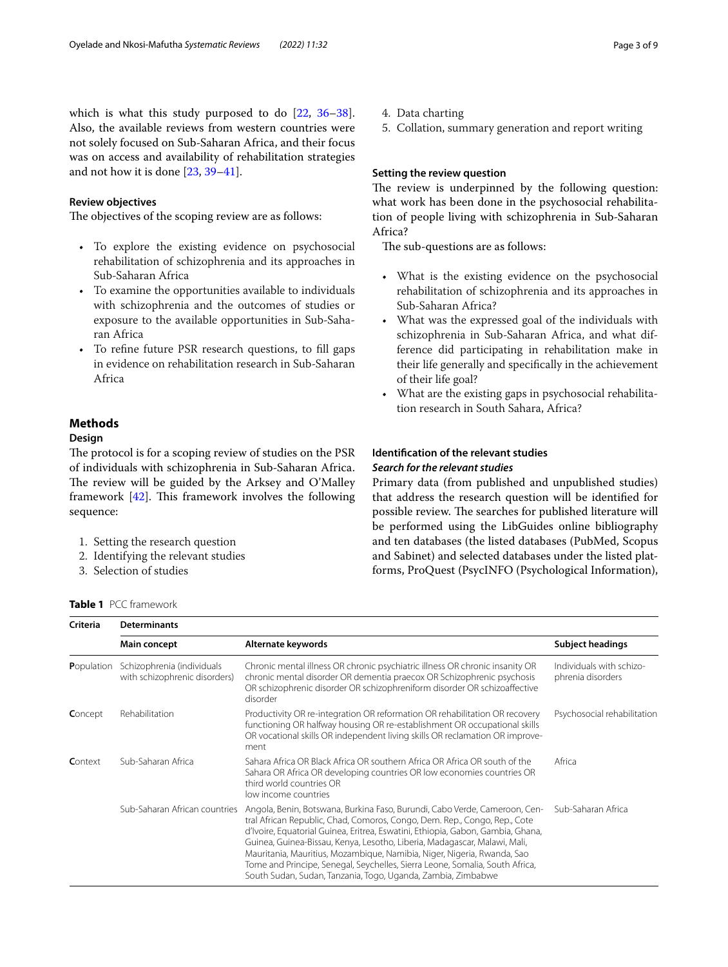which is what this study purposed to do [[22,](#page-8-20) [36](#page-8-21)[–38](#page-8-22)]. Also, the available reviews from western countries were not solely focused on Sub-Saharan Africa, and their focus was on access and availability of rehabilitation strategies and not how it is done [[23,](#page-8-7) [39](#page-8-23)[–41\]](#page-8-24).

## **Review objectives**

The objectives of the scoping review are as follows:

- To explore the existing evidence on psychosocial rehabilitation of schizophrenia and its approaches in Sub-Saharan Africa
- To examine the opportunities available to individuals with schizophrenia and the outcomes of studies or exposure to the available opportunities in Sub-Saharan Africa
- To refne future PSR research questions, to fll gaps in evidence on rehabilitation research in Sub-Saharan Africa

## **Methods**

## **Design**

The protocol is for a scoping review of studies on the PSR of individuals with schizophrenia in Sub-Saharan Africa. The review will be guided by the Arksey and O'Malley framework  $[42]$  $[42]$ . This framework involves the following sequence:

- 1. Setting the research question
- 2. Identifying the relevant studies
- 3. Selection of studies

4. Data charting

5. Collation, summary generation and report writing

## **Setting the review question**

The review is underpinned by the following question: what work has been done in the psychosocial rehabilitation of people living with schizophrenia in Sub-Saharan Africa?

The sub-questions are as follows:

- What is the existing evidence on the psychosocial rehabilitation of schizophrenia and its approaches in Sub-Saharan Africa?
- What was the expressed goal of the individuals with schizophrenia in Sub-Saharan Africa, and what difference did participating in rehabilitation make in their life generally and specifcally in the achievement of their life goal?
- What are the existing gaps in psychosocial rehabilitation research in South Sahara, Africa?

# **Identifcation of the relevant studies** *Search for the relevant studies*

Primary data (from published and unpublished studies) that address the research question will be identifed for possible review. The searches for published literature will be performed using the LibGuides online bibliography and ten databases (the listed databases (PubMed, Scopus and Sabinet) and selected databases under the listed platforms, ProQuest (PsycINFO (Psychological Information),

<span id="page-2-0"></span>

|  | <b>Table 1</b> PCC framework |  |
|--|------------------------------|--|
|--|------------------------------|--|

| Criteria   | <b>Determinants</b>                                         |                                                                                                                                                                                                                                                                                                                                                                                                                                                                                                                                                    |                                               |
|------------|-------------------------------------------------------------|----------------------------------------------------------------------------------------------------------------------------------------------------------------------------------------------------------------------------------------------------------------------------------------------------------------------------------------------------------------------------------------------------------------------------------------------------------------------------------------------------------------------------------------------------|-----------------------------------------------|
|            | Main concept                                                | Alternate keywords                                                                                                                                                                                                                                                                                                                                                                                                                                                                                                                                 | <b>Subject headings</b>                       |
| Population | Schizophrenia (individuals<br>with schizophrenic disorders) | Chronic mental illness OR chronic psychiatric illness OR chronic insanity OR<br>chronic mental disorder OR dementia praecox OR Schizophrenic psychosis<br>OR schizophrenic disorder OR schizophreniform disorder OR schizoaffective<br>disorder                                                                                                                                                                                                                                                                                                    | Individuals with schizo-<br>phrenia disorders |
| Concept    | Rehabilitation                                              | Productivity OR re-integration OR reformation OR rehabilitation OR recovery<br>functioning OR halfway housing OR re-establishment OR occupational skills<br>OR vocational skills OR independent living skills OR reclamation OR improve-<br>ment                                                                                                                                                                                                                                                                                                   | Psychosocial rehabilitation                   |
| Context    | Sub-Saharan Africa                                          | Sahara Africa OR Black Africa OR southern Africa OR Africa OR south of the<br>Sahara OR Africa OR developing countries OR low economies countries OR<br>third world countries OR<br>low income countries                                                                                                                                                                                                                                                                                                                                           | Africa                                        |
|            | Sub-Saharan African countries                               | Angola, Benin, Botswana, Burkina Faso, Burundi, Cabo Verde, Cameroon, Cen-<br>tral African Republic, Chad, Comoros, Congo, Dem. Rep., Congo, Rep., Cote<br>d'Ivoire, Equatorial Guinea, Eritrea, Eswatini, Ethiopia, Gabon, Gambia, Ghana,<br>Guinea, Guinea-Bissau, Kenya, Lesotho, Liberia, Madagascar, Malawi, Mali,<br>Mauritania, Mauritius, Mozambique, Namibia, Niger, Nigeria, Rwanda, Sao<br>Tome and Principe, Senegal, Seychelles, Sierra Leone, Somalia, South Africa,<br>South Sudan, Sudan, Tanzania, Togo, Uganda, Zambia, Zimbabwe | Sub-Saharan Africa                            |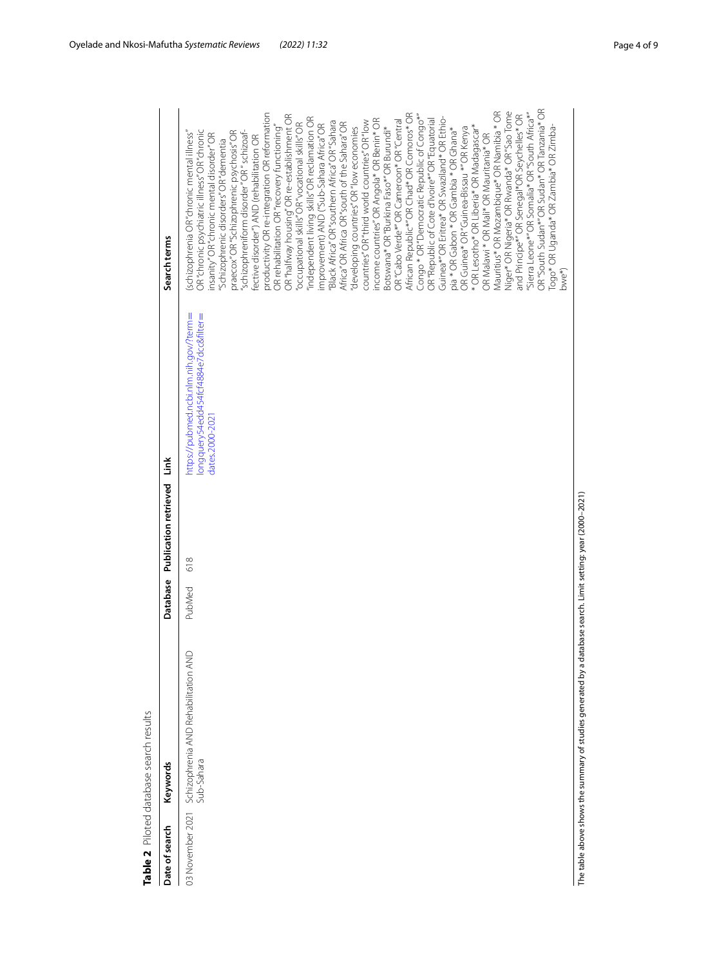| Date of search   | Keywords                                           | Database | Publication retrieved | Link                                                                                               | Search terms                                                                                                                                                                                                                                                                                                                                                                                                                                                                                                                                                                                                                                                                                                                                                                                                                                                                                                                                                                                                                                                                                                                                                                                                                                                                                                                                                                                                                                                                                                                                                                                                                              |
|------------------|----------------------------------------------------|----------|-----------------------|----------------------------------------------------------------------------------------------------|-------------------------------------------------------------------------------------------------------------------------------------------------------------------------------------------------------------------------------------------------------------------------------------------------------------------------------------------------------------------------------------------------------------------------------------------------------------------------------------------------------------------------------------------------------------------------------------------------------------------------------------------------------------------------------------------------------------------------------------------------------------------------------------------------------------------------------------------------------------------------------------------------------------------------------------------------------------------------------------------------------------------------------------------------------------------------------------------------------------------------------------------------------------------------------------------------------------------------------------------------------------------------------------------------------------------------------------------------------------------------------------------------------------------------------------------------------------------------------------------------------------------------------------------------------------------------------------------------------------------------------------------|
| 03 November 2021 | Schizophrenia AND Rehabilitation AND<br>Sub-Sahara | PubMed   | 618                   | https://pubmed.ncbi.nlm.nih.gov/?term=<br>longquery54edd454fcf4884e7dcc&filter=<br>dates.2000-2021 | OR "South Sudan*" OR Sudan* OR Tanzania* OR<br>Mauritius* OR Mozambique* OR Namibia * OR<br>Niger* OR Nigeria* OR Rwanda* OR "Sao Tome<br>productivity OR re-integration OR reformation<br>"Sierra Leone*" OR Somalia* OR "South Africa*"<br>OR "halfway housing" OR re-establishment OR<br>African Republic*"OR Chad* OR Comoros* OR<br>Congo * OR "Democratic Republic of Congo*"<br>and Principe*"OR Senegal*OR Seychelles* OR<br>Guinea*" OR Eritrea* OR Swaziland* OR Ethio-<br>"independent living skills" OR reclamation OR<br>income countries" OR Angola* OR Benin* OR<br>OR "Republic of Cote d'Ivoire*" OR "Equatorial<br>OR "Cabo Verde*" OR Cameroon* OR "Central<br>countries" OR "third world countries" OR "low<br>"Black Africa" OR "southern Africa" OR "Sahara<br>"occupational skills" OR "vocational skills" OR<br>Africa" OR Africa OR "south of the Sahara" OR<br>mprovement) AND ("Sub-Sahara Africa" OR<br>* OR Lesotho* OR Liberia* OR Madagascar*<br>OR rehabilitation OR"recovery functioning"<br>Botswana* OR "Burkina Faso*" OR Burundi*<br>developing countries" OR"low economies<br>OR Guinea* OR "Guinea-Bissau *" OR Kenya<br>Togo* OR Uganda* OR Zambia* OR Zimba-<br>pia * OR Gabon * OR Gambia * OR Ghana*<br>OR "chronic psychiatric illness" OR "chronic<br>oraecox" OR "Schizophrenic psychosis" OR<br>"schizophreniform disorder" OR " schizoaf-<br>(schizophrenia OR "chronic mental illness"<br>insanity"OR"chronic mental disorder"OR<br>OR Malawi * OR Mali* OR Mauritania* OR<br>fective disorder") AND (rehabilitation OR<br>'Schizophrenic disorders'' OR "dementia<br>bwe <sup>*</sup> ) |

<span id="page-3-0"></span>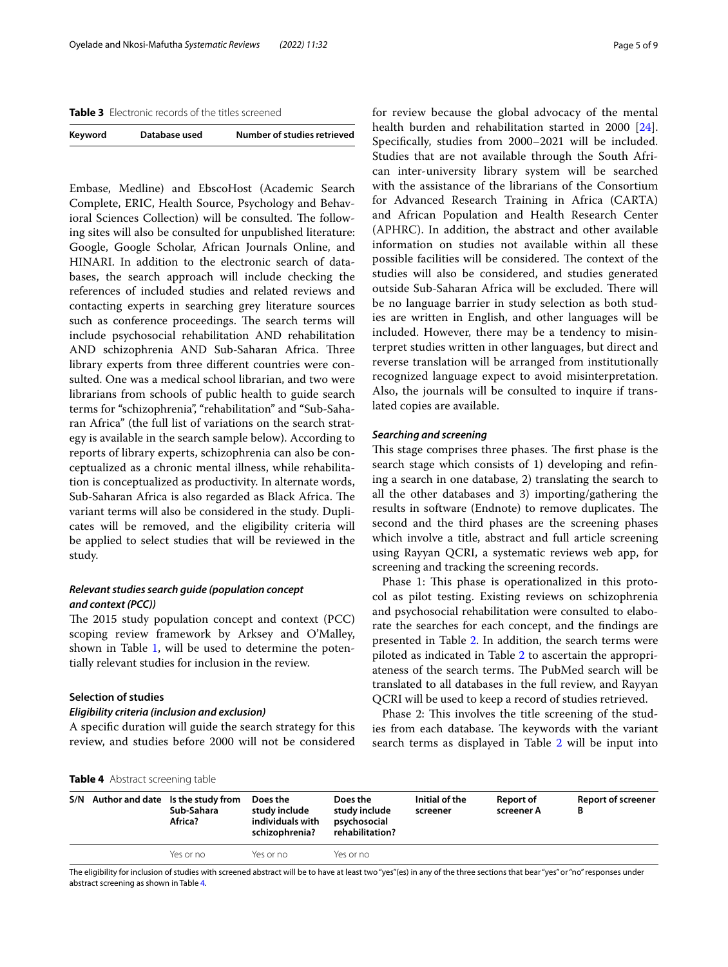<span id="page-4-1"></span>**Table 3** Electronic records of the titles screened

| Keyword | Database used | Number of studies retrieved |
|---------|---------------|-----------------------------|
|         |               |                             |

Embase, Medline) and EbscoHost (Academic Search Complete, ERIC, Health Source, Psychology and Behavioral Sciences Collection) will be consulted. The following sites will also be consulted for unpublished literature: Google, Google Scholar, African Journals Online, and HINARI. In addition to the electronic search of databases, the search approach will include checking the references of included studies and related reviews and contacting experts in searching grey literature sources such as conference proceedings. The search terms will include psychosocial rehabilitation AND rehabilitation AND schizophrenia AND Sub-Saharan Africa. Three library experts from three diferent countries were consulted. One was a medical school librarian, and two were librarians from schools of public health to guide search terms for "schizophrenia", "rehabilitation" and "Sub-Saharan Africa" (the full list of variations on the search strategy is available in the search sample below). According to reports of library experts, schizophrenia can also be conceptualized as a chronic mental illness, while rehabilitation is conceptualized as productivity. In alternate words, Sub-Saharan Africa is also regarded as Black Africa. The variant terms will also be considered in the study. Duplicates will be removed, and the eligibility criteria will be applied to select studies that will be reviewed in the study.

## *Relevant studies search guide (population concept and context (PCC))*

The 2015 study population concept and context (PCC) scoping review framework by Arksey and O'Malley, shown in Table [1](#page-2-0), will be used to determine the potentially relevant studies for inclusion in the review.

### **Selection of studies**

## *Eligibility criteria (inclusion and exclusion)*

A specifc duration will guide the search strategy for this review, and studies before 2000 will not be considered for review because the global advocacy of the mental health burden and rehabilitation started in 2000 [\[24](#page-8-8)]. Specifcally, studies from 2000–2021 will be included. Studies that are not available through the South African inter-university library system will be searched with the assistance of the librarians of the Consortium for Advanced Research Training in Africa (CARTA) and African Population and Health Research Center (APHRC). In addition, the abstract and other available information on studies not available within all these possible facilities will be considered. The context of the studies will also be considered, and studies generated outside Sub-Saharan Africa will be excluded. There will be no language barrier in study selection as both studies are written in English, and other languages will be included. However, there may be a tendency to misinterpret studies written in other languages, but direct and reverse translation will be arranged from institutionally recognized language expect to avoid misinterpretation. Also, the journals will be consulted to inquire if translated copies are available.

#### *Searching and screening*

This stage comprises three phases. The first phase is the search stage which consists of 1) developing and refning a search in one database, 2) translating the search to all the other databases and 3) importing/gathering the results in software (Endnote) to remove duplicates. The second and the third phases are the screening phases which involve a title, abstract and full article screening using Rayyan QCRI, a systematic reviews web app, for screening and tracking the screening records.

Phase 1: This phase is operationalized in this protocol as pilot testing. Existing reviews on schizophrenia and psychosocial rehabilitation were consulted to elaborate the searches for each concept, and the fndings are presented in Table [2.](#page-3-0) In addition, the search terms were piloted as indicated in Table [2](#page-3-0) to ascertain the appropriateness of the search terms. The PubMed search will be translated to all databases in the full review, and Rayyan QCRI will be used to keep a record of studies retrieved.

Phase 2: This involves the title screening of the studies from each database. The keywords with the variant search terms as displayed in Table [2](#page-3-0) will be input into

<span id="page-4-0"></span>

|  |  | Table 4 Abstract screening table |  |
|--|--|----------------------------------|--|
|--|--|----------------------------------|--|

|  | S/N Author and date Is the study from<br>Sub-Sahara<br>Africa? | Does the<br>study include<br>individuals with<br>schizophrenia? | Does the<br>study include<br>psychosocial<br>rehabilitation? | Initial of the<br>screener | <b>Report of</b><br>screener A | <b>Report of screener</b> |
|--|----------------------------------------------------------------|-----------------------------------------------------------------|--------------------------------------------------------------|----------------------------|--------------------------------|---------------------------|
|  | Yes or no                                                      | Yes or no                                                       | Yes or no                                                    |                            |                                |                           |

The eligibility for inclusion of studies with screened abstract will be to have at least two "yes"(es) in any of the three sections that bear "yes" or "no" responses under abstract screening as shown in Table [4](#page-4-0)*.*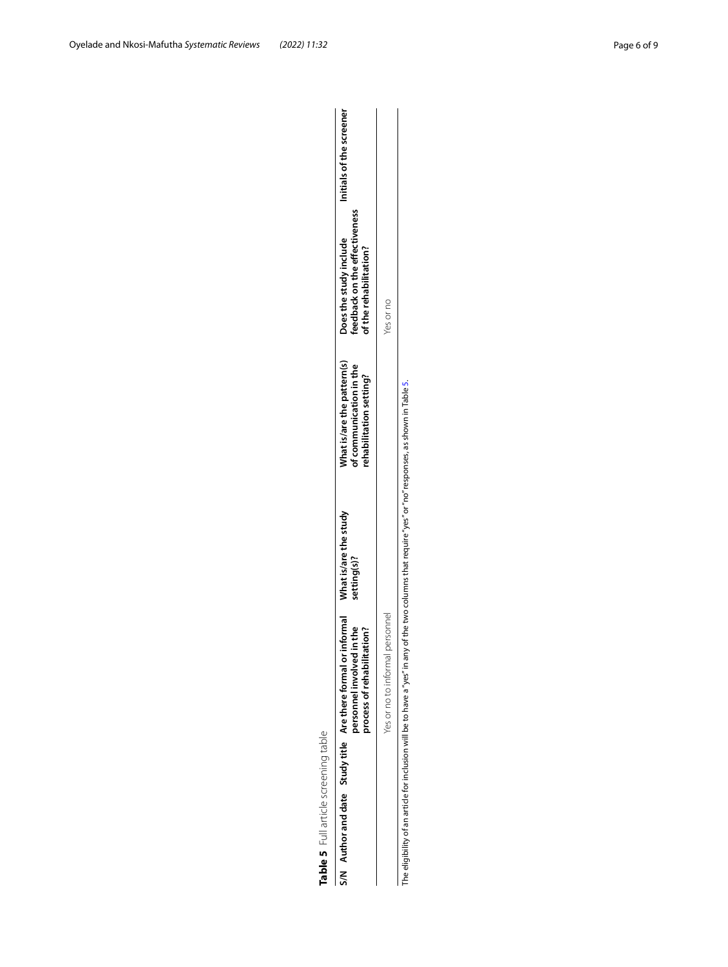<span id="page-5-0"></span>

| <b></b><br>; |
|--------------|
| j            |
|              |
| n            |

| Table 5 Full article screening table                                      |                                                                                                                                                       |                                                                                   |                                                                                 |                                                                                   |                          |
|---------------------------------------------------------------------------|-------------------------------------------------------------------------------------------------------------------------------------------------------|-----------------------------------------------------------------------------------|---------------------------------------------------------------------------------|-----------------------------------------------------------------------------------|--------------------------|
|                                                                           | S/N Author and date Study title Are there formal or informal What is/are the study<br>in the<br>tation?<br>personnel involved<br>process of rehabilit | setting(s)?                                                                       | Vhat is/are the pattern(s)<br>of communication in the<br>ehabilitation setting? | feedback on the effectiveness<br>Does the study include<br>of the rehabilitation? | Initials of the screener |
|                                                                           | Yes or no to informal personnel                                                                                                                       |                                                                                   |                                                                                 | Yes or no                                                                         |                          |
| The eligibility of an article for inclusion will be to have a "yes" in ar |                                                                                                                                                       | iny of the two columns that require "yes" or "no" responses, as shown in Table 5. |                                                                                 |                                                                                   |                          |

The eligibility of an article for inclusion will be to have a "yes" in any of the two columns that require "yes" or "no" responses, as shown in Table 5.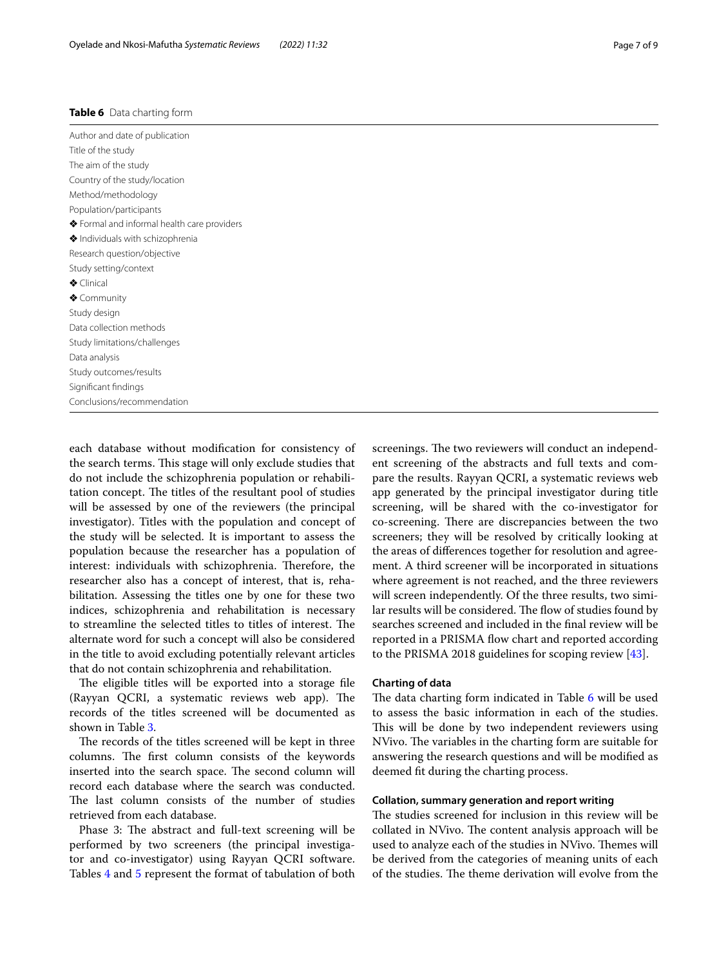#### <span id="page-6-0"></span>**Table 6** Data charting form

Author and date of publication Title of the study The aim of the study Country of the study/location Method/methodology Population/participants ❖ Formal and informal health care providers ❖ Individuals with schizophrenia Research question/objective Study setting/context ❖ Clinical ❖ Community Study design Data collection methods Study limitations/challenges Data analysis Study outcomes/results Signifcant fndings Conclusions/recommendation

each database without modifcation for consistency of the search terms. This stage will only exclude studies that do not include the schizophrenia population or rehabilitation concept. The titles of the resultant pool of studies will be assessed by one of the reviewers (the principal investigator). Titles with the population and concept of the study will be selected. It is important to assess the population because the researcher has a population of interest: individuals with schizophrenia. Therefore, the researcher also has a concept of interest, that is, rehabilitation. Assessing the titles one by one for these two indices, schizophrenia and rehabilitation is necessary to streamline the selected titles to titles of interest. The alternate word for such a concept will also be considered in the title to avoid excluding potentially relevant articles that do not contain schizophrenia and rehabilitation.

The eligible titles will be exported into a storage file (Rayyan QCRI, a systematic reviews web app). The records of the titles screened will be documented as shown in Table [3.](#page-4-1)

The records of the titles screened will be kept in three columns. The first column consists of the keywords inserted into the search space. The second column will record each database where the search was conducted. The last column consists of the number of studies retrieved from each database.

Phase 3: The abstract and full-text screening will be performed by two screeners (the principal investigator and co-investigator) using Rayyan QCRI software. Tables [4](#page-4-0) and [5](#page-5-0) represent the format of tabulation of both screenings. The two reviewers will conduct an independent screening of the abstracts and full texts and compare the results. Rayyan QCRI, a systematic reviews web app generated by the principal investigator during title screening, will be shared with the co-investigator for co-screening. There are discrepancies between the two screeners; they will be resolved by critically looking at the areas of diferences together for resolution and agreement. A third screener will be incorporated in situations where agreement is not reached, and the three reviewers will screen independently. Of the three results, two similar results will be considered. The flow of studies found by searches screened and included in the fnal review will be reported in a PRISMA flow chart and reported according to the PRISMA 2018 guidelines for scoping review [[43\]](#page-8-26).

## **Charting of data**

The data charting form indicated in Table [6](#page-6-0) will be used to assess the basic information in each of the studies. This will be done by two independent reviewers using NVivo. The variables in the charting form are suitable for answering the research questions and will be modifed as deemed ft during the charting process.

## **Collation, summary generation and report writing**

The studies screened for inclusion in this review will be collated in NVivo. The content analysis approach will be used to analyze each of the studies in NVivo. Themes will be derived from the categories of meaning units of each of the studies. The theme derivation will evolve from the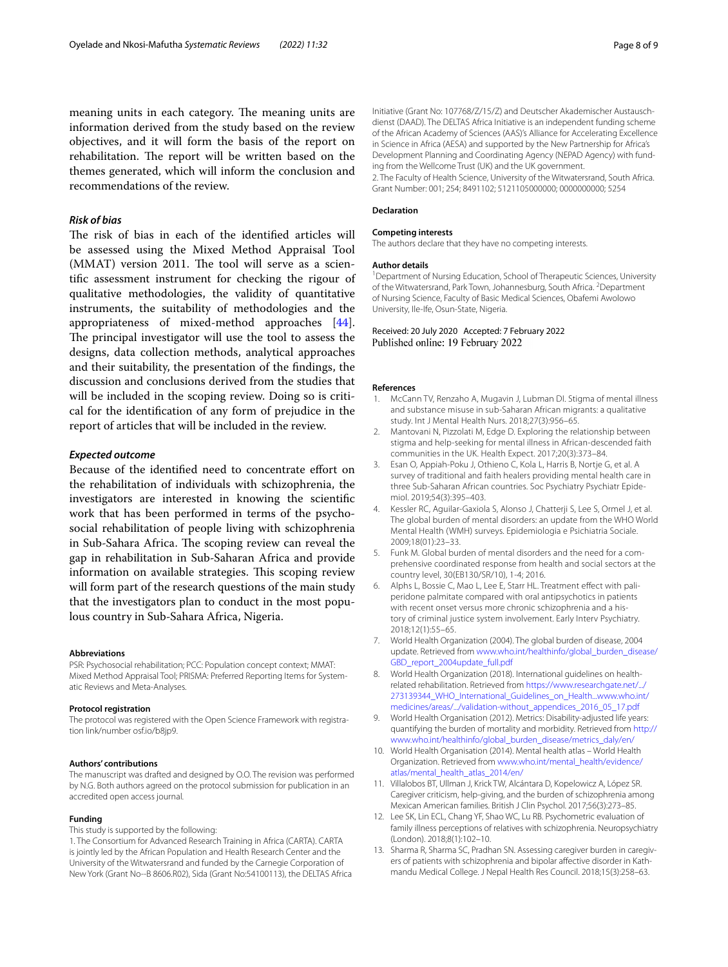## *Risk of bias*

The risk of bias in each of the identified articles will be assessed using the Mixed Method Appraisal Tool  $(MMAT)$  version 2011. The tool will serve as a scientifc assessment instrument for checking the rigour of qualitative methodologies, the validity of quantitative instruments, the suitability of methodologies and the appropriateness of mixed-method approaches [\[44](#page-8-27)]. The principal investigator will use the tool to assess the designs, data collection methods, analytical approaches and their suitability, the presentation of the fndings, the discussion and conclusions derived from the studies that will be included in the scoping review. Doing so is critical for the identifcation of any form of prejudice in the report of articles that will be included in the review.

### *Expected outcome*

Because of the identified need to concentrate effort on the rehabilitation of individuals with schizophrenia, the investigators are interested in knowing the scientifc work that has been performed in terms of the psychosocial rehabilitation of people living with schizophrenia in Sub-Sahara Africa. The scoping review can reveal the gap in rehabilitation in Sub-Saharan Africa and provide information on available strategies. This scoping review will form part of the research questions of the main study that the investigators plan to conduct in the most populous country in Sub-Sahara Africa, Nigeria.

#### **Abbreviations**

PSR: Psychosocial rehabilitation; PCC: Population concept context; MMAT: Mixed Method Appraisal Tool; PRISMA: Preferred Reporting Items for Systematic Reviews and Meta-Analyses.

#### **Protocol registration**

The protocol was registered with the Open Science Framework with registration link/number osf.io/b8ip9.

#### **Authors' contributions**

The manuscript was drafted and designed by O.O. The revision was performed by N.G. Both authors agreed on the protocol submission for publication in an accredited open access journal.

#### **Funding**

This study is supported by the following:

1. The Consortium for Advanced Research Training in Africa (CARTA). CARTA is jointly led by the African Population and Health Research Center and the University of the Witwatersrand and funded by the Carnegie Corporation of New York (Grant No--B 8606.R02), Sida (Grant No:54100113), the DELTAS Africa Initiative (Grant No: 107768/Z/15/Z) and Deutscher Akademischer Austausch‑ dienst (DAAD). The DELTAS Africa Initiative is an independent funding scheme of the African Academy of Sciences (AAS)'s Alliance for Accelerating Excellence in Science in Africa (AESA) and supported by the New Partnership for Africa's Development Planning and Coordinating Agency (NEPAD Agency) with funding from the Wellcome Trust (UK) and the UK government. 2. The Faculty of Health Science, University of the Witwatersrand, South Africa.

Grant Number: 001; 254; 8491102; 5121105000000; 0000000000; 5254

#### **Declaration**

## **Competing interests**

The authors declare that they have no competing interests.

#### **Author details**

<sup>1</sup> Department of Nursing Education, School of Therapeutic Sciences, University of the Witwatersrand, Park Town, Johannesburg, South Africa. <sup>2</sup> Department of Nursing Science, Faculty of Basic Medical Sciences, Obafemi Awolowo University, Ile‑Ife, Osun‑State, Nigeria.

Received: 20 July 2020 Accepted: 7 February 2022<br>Published online: 19 February 2022

#### **References**

- <span id="page-7-0"></span>McCann TV, Renzaho A, Mugavin J, Lubman DI. Stigma of mental illness and substance misuse in sub-Saharan African migrants: a qualitative study. Int J Mental Health Nurs. 2018;27(3):956–65.
- <span id="page-7-1"></span>2. Mantovani N, Pizzolati M, Edge D. Exploring the relationship between stigma and help-seeking for mental illness in African-descended faith communities in the UK. Health Expect. 2017;20(3):373–84.
- <span id="page-7-2"></span>3. Esan O, Appiah-Poku J, Othieno C, Kola L, Harris B, Nortje G, et al. A survey of traditional and faith healers providing mental health care in three Sub-Saharan African countries. Soc Psychiatry Psychiatr Epidemiol. 2019;54(3):395–403.
- <span id="page-7-3"></span>Kessler RC, Aguilar-Gaxiola S, Alonso J, Chatterji S, Lee S, Ormel J, et al. The global burden of mental disorders: an update from the WHO World Mental Health (WMH) surveys. Epidemiologia e Psichiatria Sociale. 2009;18(01):23–33.
- <span id="page-7-4"></span>5. Funk M. Global burden of mental disorders and the need for a comprehensive coordinated response from health and social sectors at the country level, 30(EB130/SR/10), 1-4; 2016.
- <span id="page-7-5"></span>6. Alphs L, Bossie C, Mao L, Lee E, Starr HL. Treatment effect with paliperidone palmitate compared with oral antipsychotics in patients with recent onset versus more chronic schizophrenia and a history of criminal justice system involvement. Early Interv Psychiatry. 2018;12(1):55–65.
- <span id="page-7-6"></span>7. World Health Organization (2004). The global burden of disease, 2004 update. Retrieved from [www.who.int/healthinfo/global\\_burden\\_disease/](http://www.who.int/healthinfo/global_burden_disease/GBD_report_2004update_full.pdf) GBD report 2004update full.pdf
- <span id="page-7-7"></span>8. World Health Organization (2018). International guidelines on healthrelated rehabilitation. Retrieved from [https://www.researchgate.net/.../](https://www.researchgate.net/273139344_WHO_International_Guidelines_on_Health...www.who.int/medicines/areas/validation-without_appendices_2016_05_17.pdf) [273139344\\_WHO\\_International\\_Guidelines\\_on\\_Health...www.who.int/](https://www.researchgate.net/273139344_WHO_International_Guidelines_on_Health...www.who.int/medicines/areas/validation-without_appendices_2016_05_17.pdf) [medicines/areas/.../validation-without\\_appendices\\_2016\\_05\\_17.pdf](https://www.researchgate.net/273139344_WHO_International_Guidelines_on_Health...www.who.int/medicines/areas/validation-without_appendices_2016_05_17.pdf)
- <span id="page-7-8"></span>9. World Health Organisation (2012). Metrics: Disability-adjusted life years: quantifying the burden of mortality and morbidity. Retrieved from [http://](http://www.who.int/healthinfo/global_burden_disease/metrics_daly/en/) [www.who.int/healthinfo/global\\_burden\\_disease/metrics\\_daly/en/](http://www.who.int/healthinfo/global_burden_disease/metrics_daly/en/)
- <span id="page-7-9"></span>10. World Health Organisation (2014). Mental health atlas – World Health Organization. Retrieved from [www.who.int/mental\\_health/evidence/](http://www.who.int/mental_health/evidence/atlas/mental_health_atlas_2014/en/) [atlas/mental\\_health\\_atlas\\_2014/en/](http://www.who.int/mental_health/evidence/atlas/mental_health_atlas_2014/en/)
- <span id="page-7-10"></span>11. Villalobos BT, Ullman J, Krick TW, Alcántara D, Kopelowicz A, López SR. Caregiver criticism, help-giving, and the burden of schizophrenia among Mexican American families. British J Clin Psychol. 2017;56(3):273–85.
- 12. Lee SK, Lin ECL, Chang YF, Shao WC, Lu RB. Psychometric evaluation of family illness perceptions of relatives with schizophrenia. Neuropsychiatry (London). 2018;8(1):102–10.
- <span id="page-7-11"></span>13. Sharma R, Sharma SC, Pradhan SN. Assessing caregiver burden in caregivers of patients with schizophrenia and bipolar afective disorder in Kath‑ mandu Medical College. J Nepal Health Res Council. 2018;15(3):258–63.